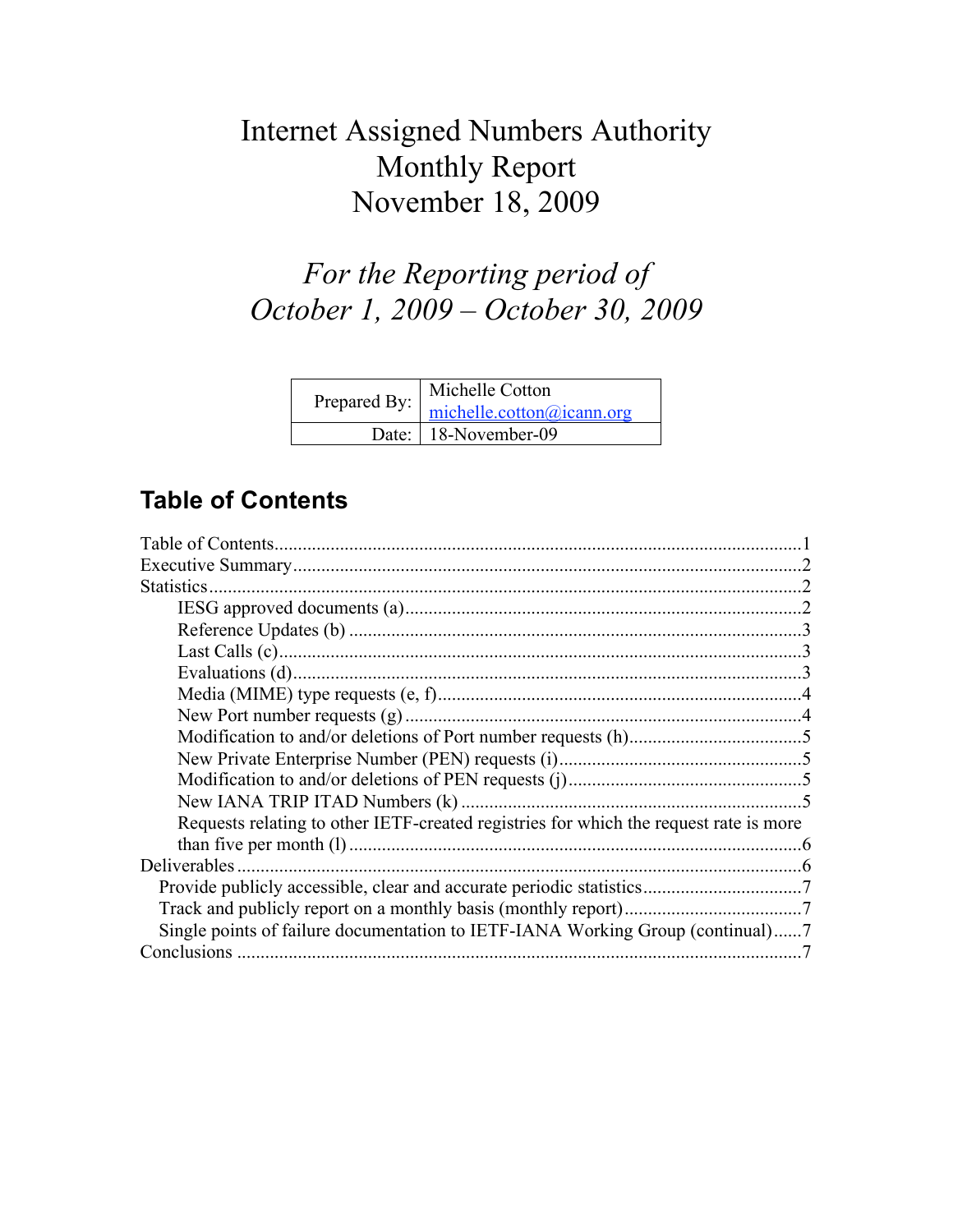# Internet Assigned Numbers Authority Monthly Report November 18, 2009

# *For the Reporting period of October 1, 2009 – October 30, 2009*

| Prepared By: michelle.cotton@icann.org | Michelle Cotton        |  |
|----------------------------------------|------------------------|--|
|                                        |                        |  |
|                                        | Date:   18-November-09 |  |

## **Table of Contents**

| <b>Statistics</b>                                                                     |  |
|---------------------------------------------------------------------------------------|--|
|                                                                                       |  |
|                                                                                       |  |
|                                                                                       |  |
|                                                                                       |  |
|                                                                                       |  |
|                                                                                       |  |
|                                                                                       |  |
|                                                                                       |  |
|                                                                                       |  |
|                                                                                       |  |
| Requests relating to other IETF-created registries for which the request rate is more |  |
|                                                                                       |  |
| Deliverables                                                                          |  |
|                                                                                       |  |
|                                                                                       |  |
| Single points of failure documentation to IETF-IANA Working Group (continual)7        |  |
|                                                                                       |  |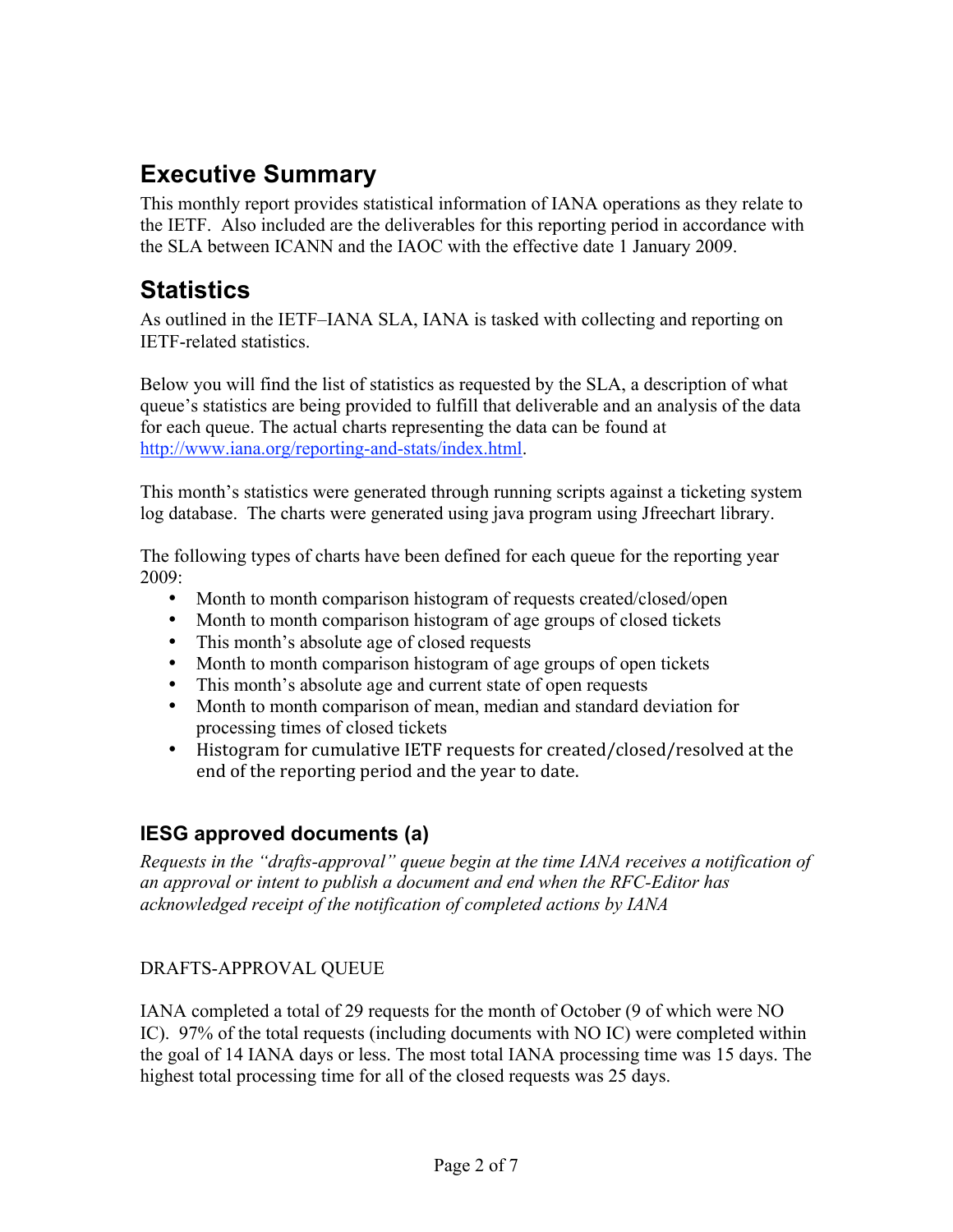## **Executive Summary**

This monthly report provides statistical information of IANA operations as they relate to the IETF. Also included are the deliverables for this reporting period in accordance with the SLA between ICANN and the IAOC with the effective date 1 January 2009.

## **Statistics**

As outlined in the IETF–IANA SLA, IANA is tasked with collecting and reporting on IETF-related statistics.

Below you will find the list of statistics as requested by the SLA, a description of what queue's statistics are being provided to fulfill that deliverable and an analysis of the data for each queue. The actual charts representing the data can be found at http://www.iana.org/reporting-and-stats/index.html.

This month's statistics were generated through running scripts against a ticketing system log database. The charts were generated using java program using Jfreechart library.

The following types of charts have been defined for each queue for the reporting year 2009:

- Month to month comparison histogram of requests created/closed/open
- Month to month comparison histogram of age groups of closed tickets
- This month's absolute age of closed requests
- Month to month comparison histogram of age groups of open tickets
- This month's absolute age and current state of open requests
- Month to month comparison of mean, median and standard deviation for processing times of closed tickets
- Histogram for cumulative IETF requests for created/closed/resolved at the end
of
the
reporting
period
and
the
year
to
date.

## **IESG approved documents (a)**

*Requests in the "drafts-approval" queue begin at the time IANA receives a notification of an approval or intent to publish a document and end when the RFC-Editor has acknowledged receipt of the notification of completed actions by IANA*

#### DRAFTS-APPROVAL QUEUE

IANA completed a total of 29 requests for the month of October (9 of which were NO IC). 97% of the total requests (including documents with NO IC) were completed within the goal of 14 IANA days or less. The most total IANA processing time was 15 days. The highest total processing time for all of the closed requests was 25 days.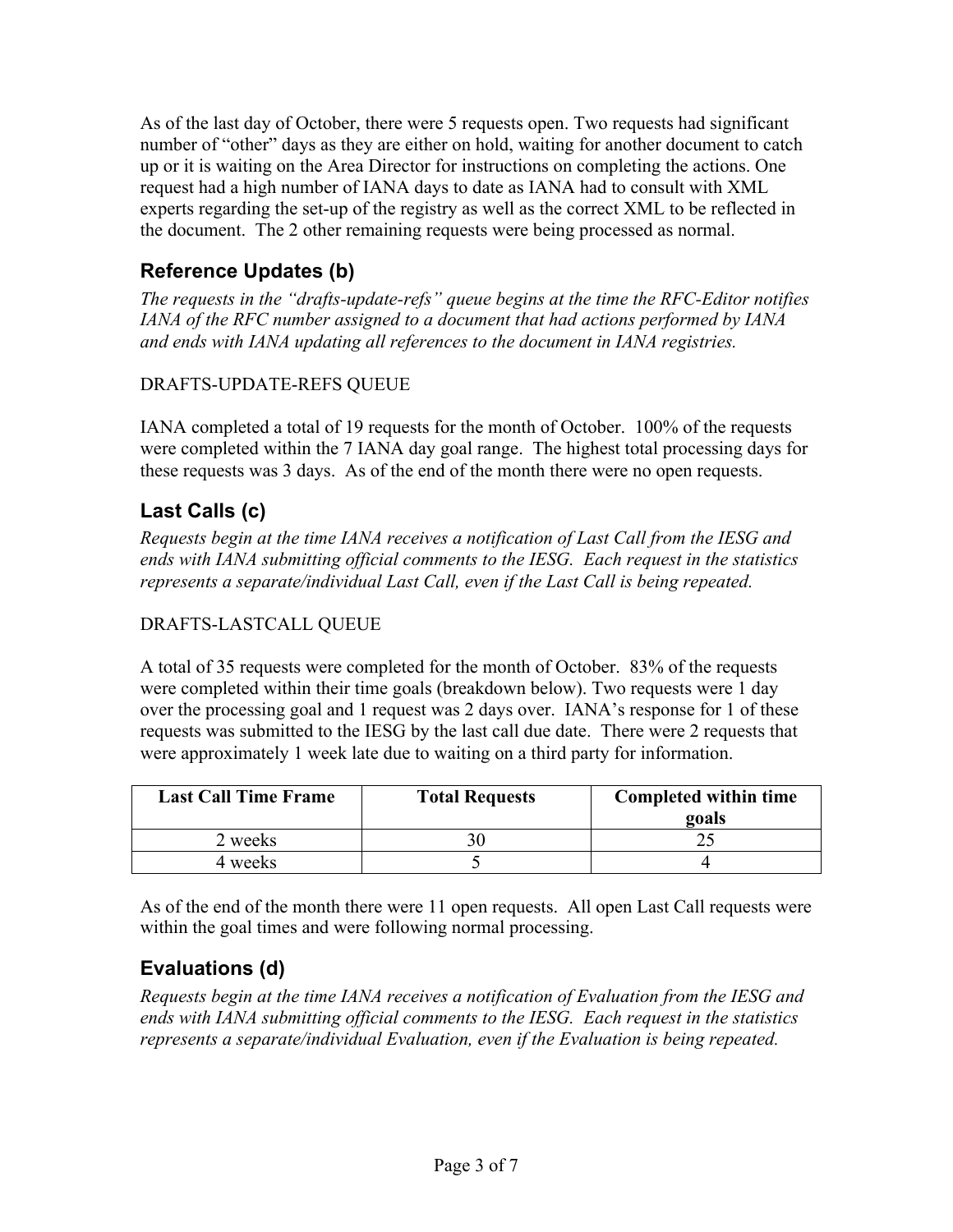As of the last day of October, there were 5 requests open. Two requests had significant number of "other" days as they are either on hold, waiting for another document to catch up or it is waiting on the Area Director for instructions on completing the actions. One request had a high number of IANA days to date as IANA had to consult with XML experts regarding the set-up of the registry as well as the correct XML to be reflected in the document. The 2 other remaining requests were being processed as normal.

### **Reference Updates (b)**

*The requests in the "drafts-update-refs" queue begins at the time the RFC-Editor notifies IANA of the RFC number assigned to a document that had actions performed by IANA and ends with IANA updating all references to the document in IANA registries.*

#### DRAFTS-UPDATE-REFS QUEUE

IANA completed a total of 19 requests for the month of October. 100% of the requests were completed within the 7 IANA day goal range. The highest total processing days for these requests was 3 days. As of the end of the month there were no open requests.

## **Last Calls (c)**

*Requests begin at the time IANA receives a notification of Last Call from the IESG and ends with IANA submitting official comments to the IESG. Each request in the statistics represents a separate/individual Last Call, even if the Last Call is being repeated.*

#### DRAFTS-LASTCALL QUEUE

A total of 35 requests were completed for the month of October. 83% of the requests were completed within their time goals (breakdown below). Two requests were 1 day over the processing goal and 1 request was 2 days over. IANA's response for 1 of these requests was submitted to the IESG by the last call due date. There were 2 requests that were approximately 1 week late due to waiting on a third party for information.

| <b>Last Call Time Frame</b> | <b>Total Requests</b> | Completed within time<br>goals |
|-----------------------------|-----------------------|--------------------------------|
| 2 weeks                     |                       |                                |
| 4 weeks                     |                       |                                |

As of the end of the month there were 11 open requests. All open Last Call requests were within the goal times and were following normal processing.

### **Evaluations (d)**

*Requests begin at the time IANA receives a notification of Evaluation from the IESG and ends with IANA submitting official comments to the IESG. Each request in the statistics represents a separate/individual Evaluation, even if the Evaluation is being repeated.*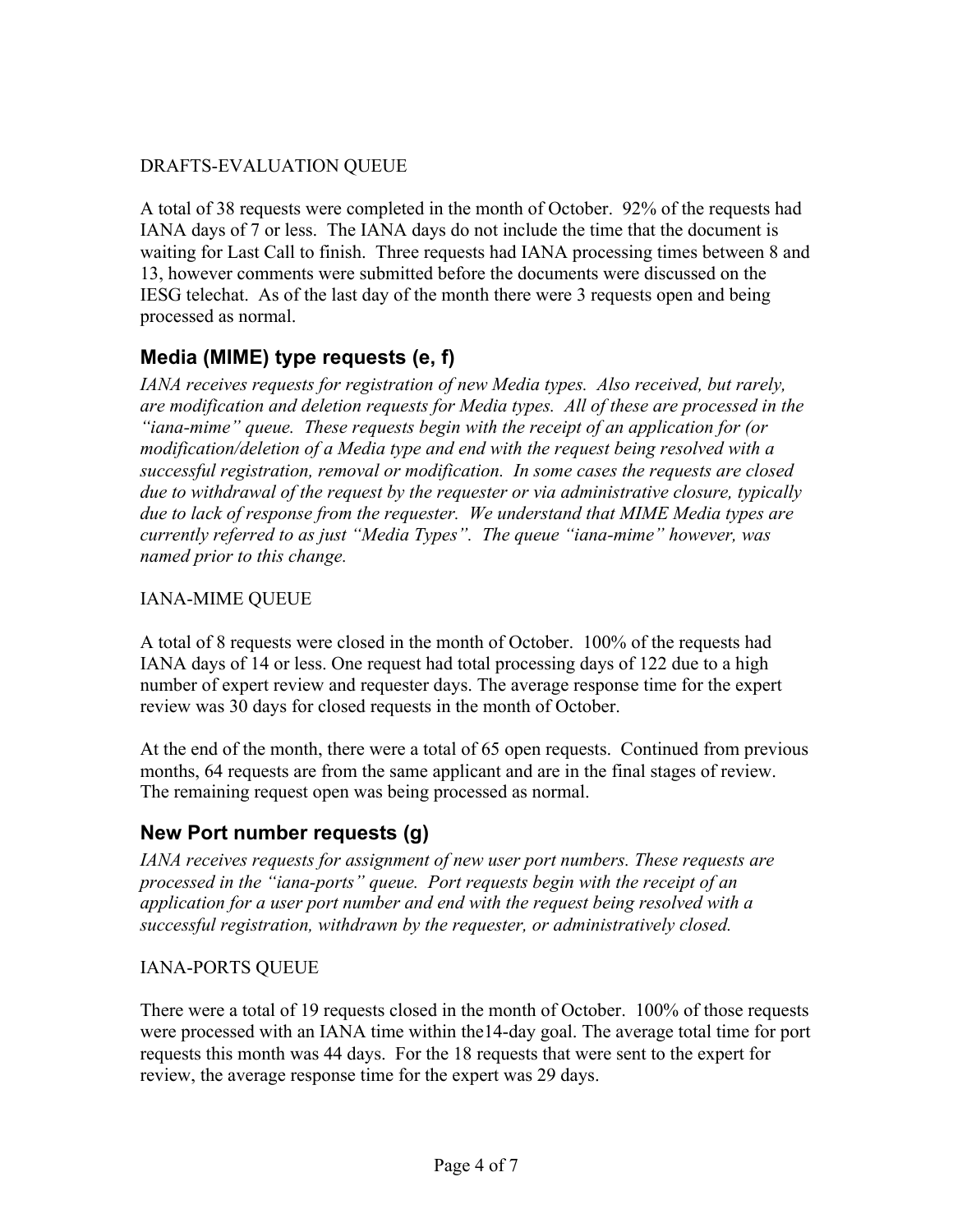#### DRAFTS-EVALUATION QUEUE

A total of 38 requests were completed in the month of October. 92% of the requests had IANA days of 7 or less. The IANA days do not include the time that the document is waiting for Last Call to finish. Three requests had IANA processing times between 8 and 13, however comments were submitted before the documents were discussed on the IESG telechat. As of the last day of the month there were 3 requests open and being processed as normal.

#### **Media (MIME) type requests (e, f)**

*IANA receives requests for registration of new Media types. Also received, but rarely, are modification and deletion requests for Media types. All of these are processed in the "iana-mime" queue. These requests begin with the receipt of an application for (or modification/deletion of a Media type and end with the request being resolved with a successful registration, removal or modification. In some cases the requests are closed due to withdrawal of the request by the requester or via administrative closure, typically due to lack of response from the requester. We understand that MIME Media types are currently referred to as just "Media Types". The queue "iana-mime" however, was named prior to this change.*

#### IANA-MIME QUEUE

A total of 8 requests were closed in the month of October. 100% of the requests had IANA days of 14 or less. One request had total processing days of 122 due to a high number of expert review and requester days. The average response time for the expert review was 30 days for closed requests in the month of October.

At the end of the month, there were a total of 65 open requests. Continued from previous months, 64 requests are from the same applicant and are in the final stages of review. The remaining request open was being processed as normal.

#### **New Port number requests (g)**

*IANA receives requests for assignment of new user port numbers. These requests are processed in the "iana-ports" queue. Port requests begin with the receipt of an application for a user port number and end with the request being resolved with a successful registration, withdrawn by the requester, or administratively closed.*

#### IANA-PORTS QUEUE

There were a total of 19 requests closed in the month of October. 100% of those requests were processed with an IANA time within the14-day goal. The average total time for port requests this month was 44 days. For the 18 requests that were sent to the expert for review, the average response time for the expert was 29 days.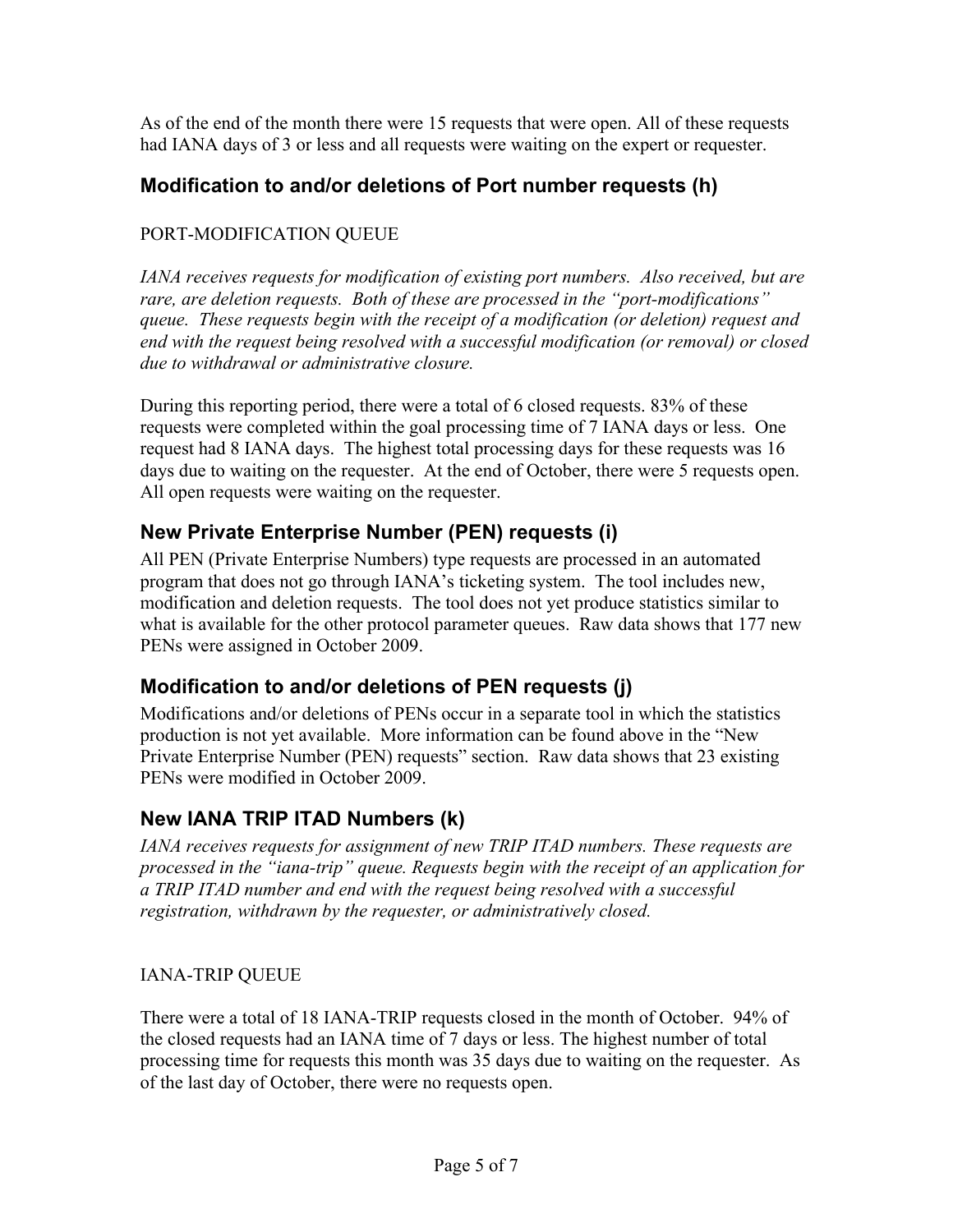As of the end of the month there were 15 requests that were open. All of these requests had IANA days of 3 or less and all requests were waiting on the expert or requester.

#### **Modification to and/or deletions of Port number requests (h)**

#### PORT-MODIFICATION QUEUE

*IANA receives requests for modification of existing port numbers. Also received, but are rare, are deletion requests. Both of these are processed in the "port-modifications" queue. These requests begin with the receipt of a modification (or deletion) request and end with the request being resolved with a successful modification (or removal) or closed due to withdrawal or administrative closure.*

During this reporting period, there were a total of 6 closed requests. 83% of these requests were completed within the goal processing time of 7 IANA days or less. One request had 8 IANA days. The highest total processing days for these requests was 16 days due to waiting on the requester. At the end of October, there were 5 requests open. All open requests were waiting on the requester.

### **New Private Enterprise Number (PEN) requests (i)**

All PEN (Private Enterprise Numbers) type requests are processed in an automated program that does not go through IANA's ticketing system. The tool includes new, modification and deletion requests. The tool does not yet produce statistics similar to what is available for the other protocol parameter queues. Raw data shows that 177 new PENs were assigned in October 2009.

#### **Modification to and/or deletions of PEN requests (j)**

Modifications and/or deletions of PENs occur in a separate tool in which the statistics production is not yet available. More information can be found above in the "New Private Enterprise Number (PEN) requests" section. Raw data shows that 23 existing PENs were modified in October 2009.

#### **New IANA TRIP ITAD Numbers (k)**

*IANA receives requests for assignment of new TRIP ITAD numbers. These requests are processed in the "iana-trip" queue. Requests begin with the receipt of an application for a TRIP ITAD number and end with the request being resolved with a successful registration, withdrawn by the requester, or administratively closed.*

#### IANA-TRIP QUEUE

There were a total of 18 IANA-TRIP requests closed in the month of October. 94% of the closed requests had an IANA time of 7 days or less. The highest number of total processing time for requests this month was 35 days due to waiting on the requester. As of the last day of October, there were no requests open.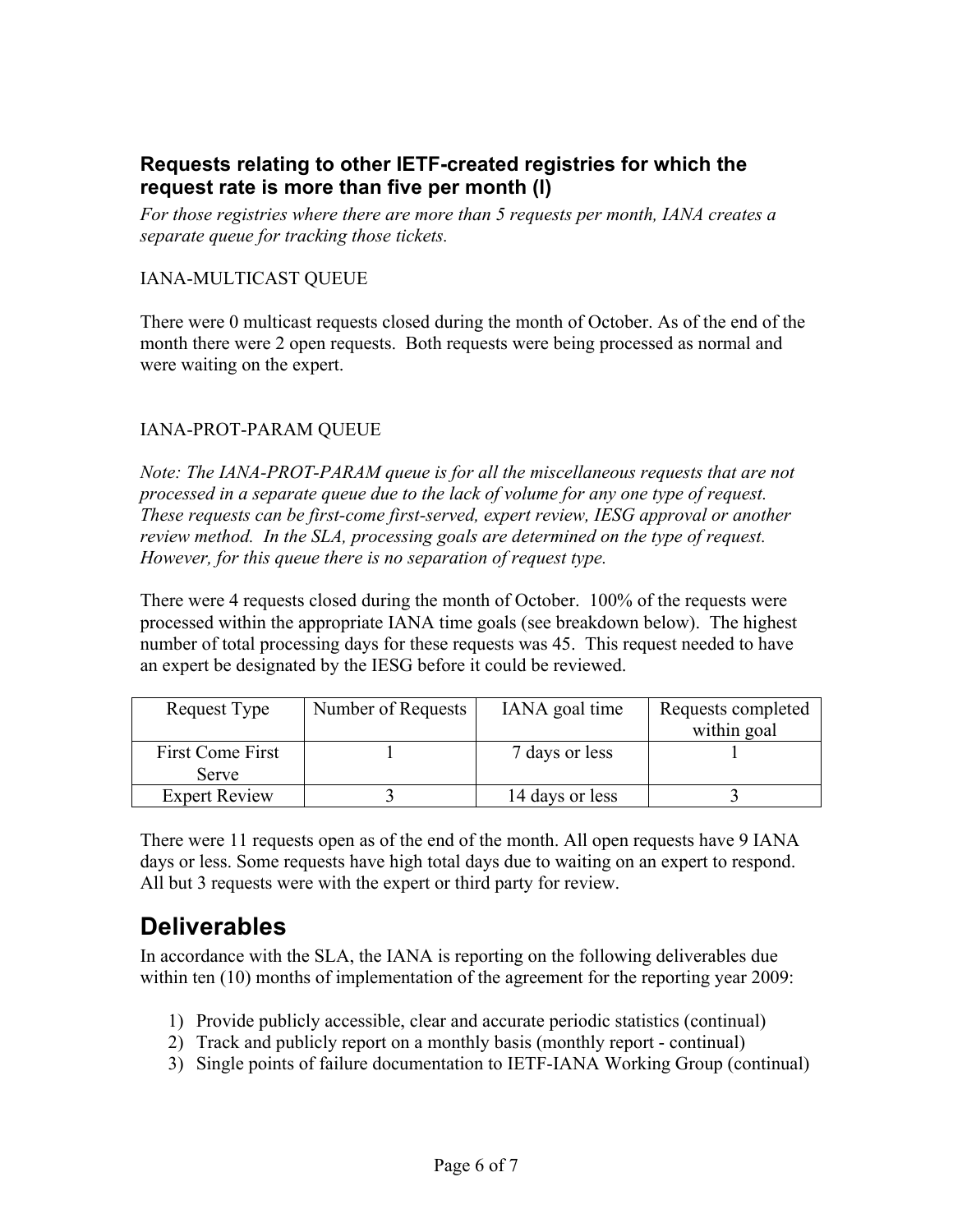#### **Requests relating to other IETF-created registries for which the request rate is more than five per month (l)**

*For those registries where there are more than 5 requests per month, IANA creates a separate queue for tracking those tickets.* 

#### IANA-MULTICAST QUEUE

There were 0 multicast requests closed during the month of October. As of the end of the month there were 2 open requests. Both requests were being processed as normal and were waiting on the expert.

#### IANA-PROT-PARAM QUEUE

*Note: The IANA-PROT-PARAM queue is for all the miscellaneous requests that are not processed in a separate queue due to the lack of volume for any one type of request. These requests can be first-come first-served, expert review, IESG approval or another review method. In the SLA, processing goals are determined on the type of request. However, for this queue there is no separation of request type.*

There were 4 requests closed during the month of October. 100% of the requests were processed within the appropriate IANA time goals (see breakdown below). The highest number of total processing days for these requests was 45. This request needed to have an expert be designated by the IESG before it could be reviewed.

| Request Type         | Number of Requests | IANA goal time  | Requests completed |
|----------------------|--------------------|-----------------|--------------------|
|                      |                    |                 | within goal        |
| First Come First     |                    | 7 days or less  |                    |
| Serve                |                    |                 |                    |
| <b>Expert Review</b> |                    | 14 days or less |                    |

There were 11 requests open as of the end of the month. All open requests have 9 IANA days or less. Some requests have high total days due to waiting on an expert to respond. All but 3 requests were with the expert or third party for review.

## **Deliverables**

In accordance with the SLA, the IANA is reporting on the following deliverables due within ten (10) months of implementation of the agreement for the reporting year 2009:

- 1) Provide publicly accessible, clear and accurate periodic statistics (continual)
- 2) Track and publicly report on a monthly basis (monthly report continual)
- 3) Single points of failure documentation to IETF-IANA Working Group (continual)